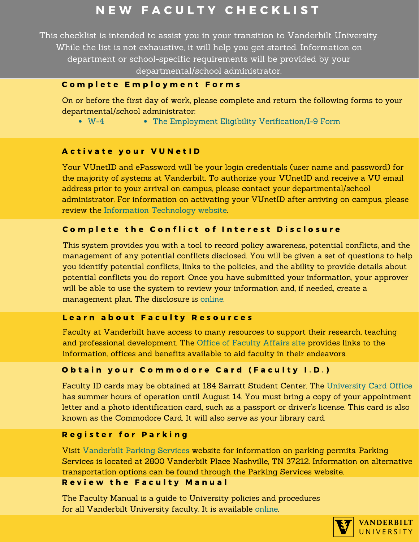# N E W F A C U L T Y C H E C K L I S T

This checklist is intended to assist you in your transition to Vanderbilt University. While the list is not exhaustive, it will help you get started. Information on department or school-specific requirements will be provided by your

## departmental/school administrator.

## Complete Employment Forms

On or before the first day of work, please complete and return the following forms to your departmental/school administrator:

[W-4](https://hr.vanderbilt.edu/forms/2018-Form-W-4.pdf) [The Employment Eligibility Verification/I-9 Form](https://hr.vanderbilt.edu/i9/)

## Activate your VUNetID

Your VUnetID and ePassword will be your login credentials (user name and password) for the majority of systems at Vanderbilt. To authorize your VUnetID and receive a VU email address prior to your arrival on campus, please contact your departmental/school [administrator. For information on activating your VUnetID after arriving on campus, please](https://it.vanderbilt.edu/new-to-vu/index.php)  review the Information Technology website.

## Complete the Conflict of Interest Disclosure

This system provides you with a tool to record policy awareness, potential conflicts, and the [management of any potential conflicts disclosed. You will be given a set of questions to help](https://webapp.mis.vanderbilt.edu/coi/) you identify potential conflicts, links to the policies, and the ability to provide details about potential conflicts you do report. Once you have submitted your information, your approver will be able to use the system to review your information and, if needed, create a management plan. The disclosure is online.

### Learn about Faculty Resources

[Faculty at Vanderbilt have access to many resources to support their research, teaching](https://www.vanderbilt.edu/faculty-affairs/)  and professional development. The Office of Faculty Affairs site provides links to the information, offices and benefits available to aid faculty in their endeavors.

## Obtain your Commodore Card (Faculty I.D.)

Faculty ID cards may be obtained at 184 Sarratt Student Center. The University Card Office [has summer hours of operation until August 14. You must bring a copy of your appointment](https://www.vanderbilt.edu/cardservices/contact.php)  letter and a photo identification card, such as a passport or driver's license. This card is also known as the Commodore Card. It will also serve as your library card.

### Register for Parking

Visit Vanderbilt Parking Services website for information on parking permits. Parking [Services is located at 2800 Vanderbilt Place Nashville, TN 37212. Information on alternative](https://www.vanderbilt.edu/traffic_parking/)  transportation options can be found through the Parking Services website. **Review the Faculty Manual** 

[The Faculty Manual is a guide to University policies and procedures](https://www.vanderbilt.edu/faculty-manual/)  for all Vanderbilt University faculty. It is available online.